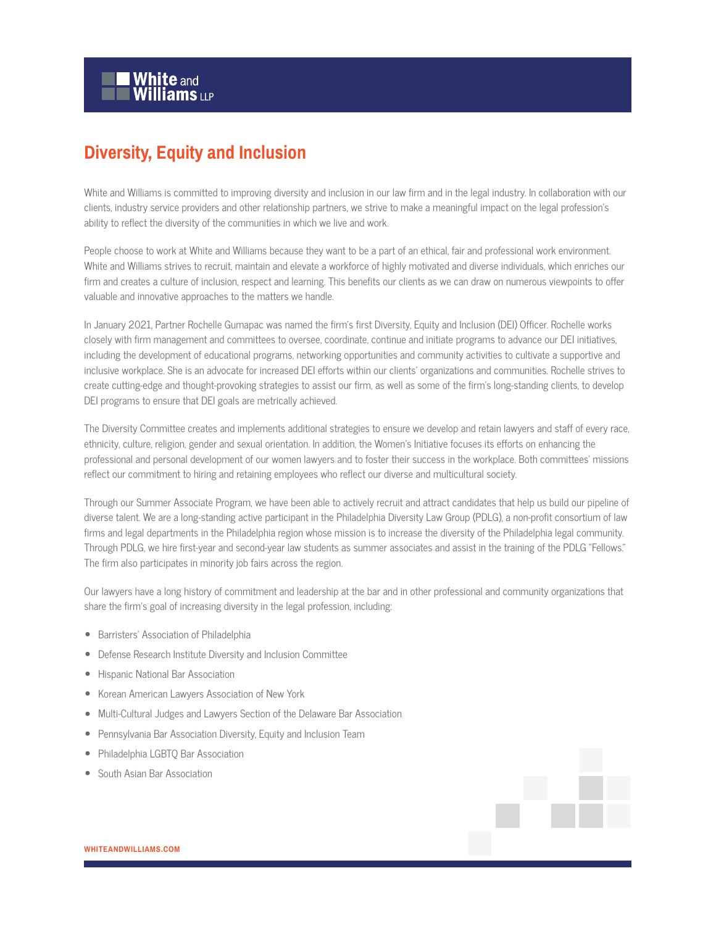## **Diversity, Equity and Inclusion**

White and Williams is committed to improving diversity and inclusion in our law firm and in the legal industry. In collaboration with our clients, industry service providers and other relationship partners, we strive to make a meaningful impact on the legal profession's ability to reflect the diversity of the communities in which we live and work.

People choose to work at White and Williams because they want to be a part of an ethical, fair and professional work environment. White and Williams strives to recruit, maintain and elevate a workforce of highly motivated and diverse individuals, which enriches our firm and creates a culture of inclusion, respect and learning. This benefits our clients as we can draw on numerous viewpoints to offer valuable and innovative approaches to the matters we handle.

In January 2021, Partner Rochelle Gumapac was named the firm's first Diversity, Equity and Inclusion (DEI) Officer. Rochelle works closely with firm management and committees to oversee, coordinate, continue and initiate programs to advance our DEI initiatives, including the development of educational programs, networking opportunities and community activities to cultivate a supportive and inclusive workplace. She is an advocate for increased DEI efforts within our clients' organizations and communities. Rochelle strives to create cutting-edge and thought-provoking strategies to assist our firm, as well as some of the firm's long-standing clients, to develop DEI programs to ensure that DEI goals are metrically achieved.

The Diversity Committee creates and implements additional strategies to ensure we develop and retain lawyers and staff of every race, ethnicity, culture, religion, gender and sexual orientation. In addition, the Women's Initiative focuses its efforts on enhancing the professional and personal development of our women lawyers and to foster their success in the workplace. Both committees' missions reflect our commitment to hiring and retaining employees who reflect our diverse and multicultural society.

Through our Summer Associate Program, we have been able to actively recruit and attract candidates that help us build our pipeline of diverse talent. We are a long-standing active participant in the Philadelphia Diversity Law Group (PDLG), a non-profit consortium of law firms and legal departments in the Philadelphia region whose mission is to increase the diversity of the Philadelphia legal community. Through PDLG, we hire first-year and second-year law students as summer associates and assist in the training of the PDLG "Fellows." The firm also participates in minority job fairs across the region.

Our lawyers have a long history of commitment and leadership at the bar and in other professional and community organizations that share the firm's goal of increasing diversity in the legal profession, including:

- Barristers' Association of Philadelphia
- Defense Research Institute Diversity and Inclusion Committee
- Hispanic National Bar Association
- Korean American Lawyers Association of New York
- Multi-Cultural Judges and Lawyers Section of the Delaware Bar Association
- Pennsylvania Bar Association Diversity, Equity and Inclusion Team
- Philadelphia LGBTQ Bar Association
- South Asian Bar Association